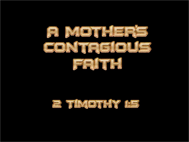

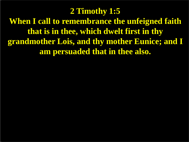## **2 Timothy 1:5**

**When I call to remembrance the unfeigned faith that is in thee, which dwelt first in thy grandmother Lois, and thy mother Eunice; and I am persuaded that in thee also.**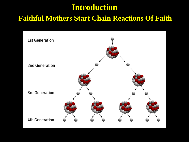# **Introduction**

#### **Faithful Mothers Start Chain Reactions Of Faith**

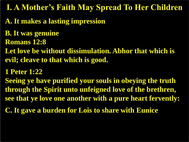**I. A Mother's Faith May Spread To Her Children**

- **A. It makes a lasting impression**
- **B. It was genuine**
- **Romans 12:8**
- **Let love be without dissimulation. Abhor that which is evil; cleave to that which is good.**
- **1 Peter 1:22**
- **Seeing ye have purified your souls in obeying the truth through the Spirit unto unfeigned love of the brethren, see that ye love one another with a pure heart fervently:**
- **C. It gave a burden for Lois to share with Eunice**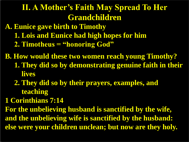# **II. A Mother's Faith May Spread To Her Grandchildren**

**A. Eunice gave birth to Timothy 1. Lois and Eunice had high hopes for him 2. Timotheus = "honoring God"**

**B. How would these two women reach young Timothy? 1. They did so by demonstrating genuine faith in their lives**

- **2. They did so by their prayers, examples, and teaching**
- **1 Corinthians 7:14**

**For the unbelieving husband is sanctified by the wife, and the unbelieving wife is sanctified by the husband: else were your children unclean; but now are they holy.**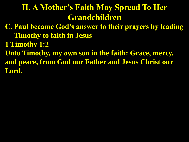# **II. A Mother's Faith May Spread To Her Grandchildren**

- **C. Paul became God's answer to their prayers by leading Timothy to faith in Jesus**
- **1 Timothy 1:2**
- **Unto Timothy, my own son in the faith: Grace, mercy, and peace, from God our Father and Jesus Christ our Lord.**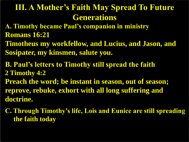# **III. A Mother's Faith May Spread To Future Generations**

- **A. Timothy became Paul's companion in ministry Romans 16:21**
- **Timotheus my workfellow, and Lucius, and Jason, and Sosipater, my kinsmen, salute you.**
- **B. Paul's letters to Timothy still spread the faith 2 Timothy 4:2**
- **Preach the word; be instant in season, out of season; reprove, rebuke, exhort with all long suffering and doctrine.**
- **C. Through Timothy's life, Lois and Eunice are still spreading the faith today**